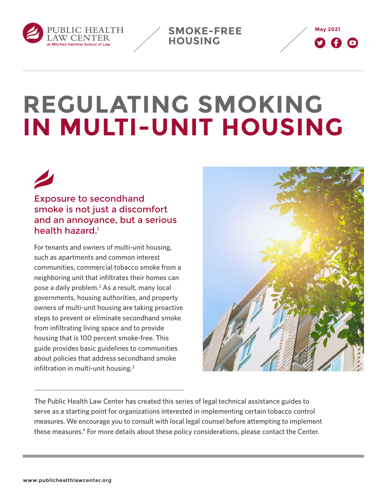<span id="page-0-0"></span>

**May 2021 SMOKE-FREE HOUSING** 



# **REGULATING SMOKING IN MULTI-UNIT HOUSING**

Exposure to secondhand smoke is not just a discomfort and an annoyance, but a serious health hazard[.1](#page-6-0)

For tenants and owners of multi-unit housing, such as apartments and common interest communities, commercial tobacco smoke from a neighboring unit that infiltrates their homes can pose a daily problem.<sup>2</sup> As a result, many local governments, housing authorities, and property owners of multi-unit housing are taking proactive steps to prevent or eliminate secondhand smoke from infiltrating living space and to provide housing that is 100 percent smoke-free. This guide provides basic guidelines to communities about policies that address secondhand smoke infiltration in multi-unit housing[.3](#page-6-0)



The Public Health Law Center has created this series of legal technical assistance guides to serve as a starting point for organizations interested in implementing certain tobacco control measures. We encourage you to consult with local legal counsel before attempting to implement these measures[.4](#page-6-0) For more details about these policy considerations, please contact the Center.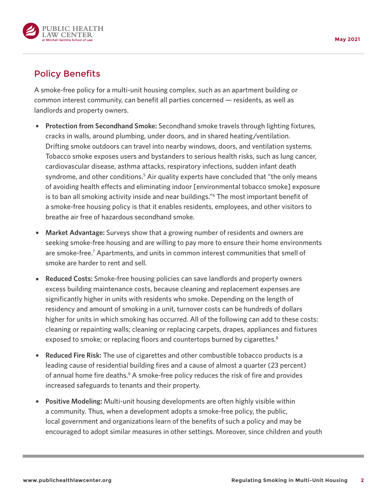<span id="page-1-0"></span>

# Policy Benefits

A smoke-free policy for a multi-unit housing complex, such as an apartment building or common interest community, can benefit all parties concerned — residents, as well as landlords and property owners.

- { **Protection from Secondhand Smoke:** Secondhand smoke travels through lighting fixtures, cracks in walls, around plumbing, under doors, and in shared heating/ventilation. Drifting smoke outdoors can travel into nearby windows, doors, and ventilation systems. Tobacco smoke exposes users and bystanders to serious health risks, such as lung cancer, cardiovascular disease, asthma attacks, respiratory infections, sudden infant death syndrome, and other conditions.<sup>[5](#page-6-0)</sup> Air quality experts have concluded that "the only means of avoiding health effects and eliminating indoor [environmental tobacco smoke] exposure is to ban all smoking activity inside and near buildings."<sup>[6](#page-6-0)</sup> The most important benefit of a smoke-free housing policy is that it enables residents, employees, and other visitors to breathe air free of hazardous secondhand smoke.
- { **Market Advantage:** Surveys show that a growing number of residents and owners are seeking smoke-free housing and are willing to pay more to ensure their home environments are smoke-free.<sup>[7](#page-6-0)</sup> Apartments, and units in common interest communities that smell of smoke are harder to rent and sell.
- { **Reduced Costs:** Smoke-free housing policies can save landlords and property owners excess building maintenance costs, because cleaning and replacement expenses are significantly higher in units with residents who smoke. Depending on the length of residency and amount of smoking in a unit, turnover costs can be hundreds of dollars higher for units in which smoking has occurred. All of the following can add to these costs: cleaning or repainting walls; cleaning or replacing carpets, drapes, appliances and fixtures exposed to smoke; or replacing floors and countertops burned by cigarettes.<sup>[8](#page-6-0)</sup>
- { **Reduced Fire Risk:** The use of cigarettes and other combustible tobacco products is a leading cause of residential building fires and a cause of almost a quarter (23 percent) of annual home fire deaths.<sup>9</sup> A smoke-free policy reduces the risk of fire and provides increased safeguards to tenants and their property.
- { **Positive Modeling:** Multi-unit housing developments are often highly visible within a community. Thus, when a development adopts a smoke-free policy, the public, local government and organizations learn of the benefits of such a policy and may be encouraged to adopt similar measures in other settings. Moreover, since children and youth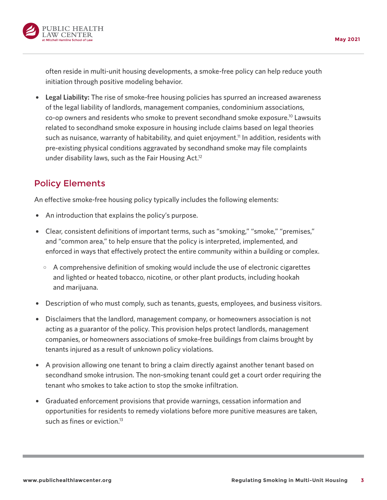<span id="page-2-0"></span>

often reside in multi-unit housing developments, a smoke-free policy can help reduce youth initiation through positive modeling behavior.

{ **Legal Liability:** The rise of smoke-free housing policies has spurred an increased awareness of the legal liability of landlords, management companies, condominium associations, co-op owners and residents who smoke to prevent secondhand smoke exposure[.10](#page-7-0) Lawsuits related to secondhand smoke exposure in housing include claims based on legal theories such as nuisance, warranty of habitability, and quiet enjoyment.<sup>11</sup> In addition, residents with pre-existing physical conditions aggravated by secondhand smoke may file complaints under disability laws, such as the Fair Housing Act.<sup>12</sup>

#### Policy Elements

An effective smoke-free housing policy typically includes the following elements:

- An introduction that explains the policy's purpose.
- Clear, consistent definitions of important terms, such as "smoking," "smoke," "premises," and "common area," to help ensure that the policy is interpreted, implemented, and enforced in ways that effectively protect the entire community within a building or complex.
	- $\circ$  A comprehensive definition of smoking would include the use of electronic cigarettes and lighted or heated tobacco, nicotine, or other plant products, including hookah and marijuana.
- Description of who must comply, such as tenants, guests, employees, and business visitors.
- Disclaimers that the landlord, management company, or homeowners association is not acting as a guarantor of the policy. This provision helps protect landlords, management companies, or homeowners associations of smoke-free buildings from claims brought by tenants injured as a result of unknown policy violations.
- A provision allowing one tenant to bring a claim directly against another tenant based on secondhand smoke intrusion. The non-smoking tenant could get a court order requiring the tenant who smokes to take action to stop the smoke infiltration.
- { Graduated enforcement provisions that provide warnings, cessation information and opportunities for residents to remedy violations before more punitive measures are taken, such as fines or eviction.<sup>13</sup>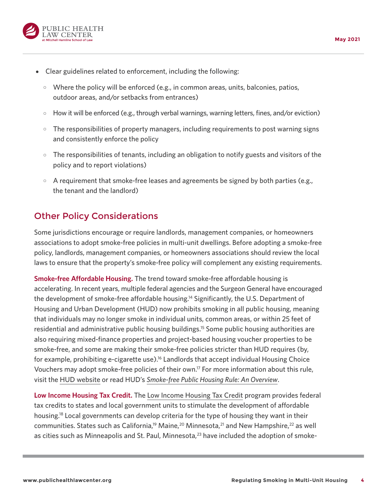<span id="page-3-0"></span>

- { Clear guidelines related to enforcement, including the following:
	- $\circ$  Where the policy will be enforced (e.g., in common areas, units, balconies, patios, outdoor areas, and/or setbacks from entrances)
	- $\circ$  How it will be enforced (e.g., through verbal warnings, warning letters, fines, and/or eviction)
	- $\circ$  The responsibilities of property managers, including requirements to post warning signs and consistently enforce the policy
	- $\circ$  The responsibilities of tenants, including an obligation to notify guests and visitors of the policy and to report violations)
	- $\circ$  A requirement that smoke-free leases and agreements be signed by both parties (e.g., the tenant and the landlord)

# Other Policy Considerations

Some jurisdictions encourage or require landlords, management companies, or homeowners associations to adopt smoke-free policies in multi-unit dwellings. Before adopting a smoke-free policy, landlords, management companies, or homeowners associations should review the local laws to ensure that the property's smoke-free policy will complement any existing requirements.

**Smoke-free Affordable Housing.** The trend toward smoke-free affordable housing is accelerating. In recent years, multiple federal agencies and the Surgeon General have encouraged the development of smoke-free affordable housing.<sup>14</sup> Significantly, the U.S. Department of Housing and Urban Development (HUD) now prohibits smoking in all public housing, meaning that individuals may no longer smoke in individual units, common areas, or within 25 feet of residential and administrative public housing buildings[.15](#page-7-0) Some public housing authorities are also requiring mixed-finance properties and project-based housing voucher properties to be smoke-free, and some are making their smoke-free policies stricter than HUD requires (by, for example, prohibiting e-cigarette use).<sup>16</sup> Landlords that accept individual Housing Choice Vouchers may adopt smoke-free policies of their own[.17](#page-7-0) For more information about this rule, visit the [HUD website](https://www.hud.gov/smokefreepublichousing) or read HUD's *[Smoke-free Public Housing Rule: An Overview](https://www.publichealthlawcenter.org/sites/default/files/resources/HUD-Final-Rule-Smoke-Free-Public-Housing-2017.pdf)*.

**Low Income Housing Tax Credit.** The [Low Income Housing Tax Credit](https://www.nhlp.org/resource-center/low-income-housing-tax-credits/) program provides federal tax credits to states and local government units to stimulate the development of affordable housing[.18](#page-7-0) Local governments can develop criteria for the type of housing they want in their communities. States such as California,<sup>19</sup> Maine,<sup>20</sup> Minnesota,<sup>21</sup> and New Hampshire,<sup>[22](#page-7-0)</sup> as well as cities such as Minneapolis and St. Paul, Minnesota,<sup>23</sup> have included the adoption of smoke-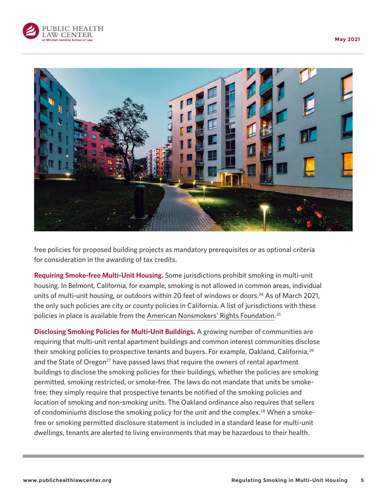<span id="page-4-0"></span>



free policies for proposed building projects as mandatory prerequisites or as optional criteria for consideration in the awarding of tax credits.

**Requiring Smoke-free Multi-Unit Housing.** Some jurisdictions prohibit smoking in multi-unit housing. In Belmont, California, for example, smoking is not allowed in common areas, individual units of multi-unit housing, or outdoors within 20 feet of windows or doors.<sup>[24](#page-7-0)</sup> As of March 2021, the only such policies are city or county policies in California. A list of jurisdictions with these policies in place is available from the [American Nonsmokers' Rights Foundation](https://no-smoke.org/wp-content/uploads/pdf/smokefreemuh.pdf). [25](#page-7-0)

**Disclosing Smoking Policies for Multi-Unit Buildings.** A growing number of communities are requiring that multi-unit rental apartment buildings and common interest communities disclose their smoking policies to prospective tenants and buyers. For example, Oakland, California,<sup>[26](#page-7-0)</sup> and the State of Oregon<sup>27</sup> have passed laws that require the owners of rental apartment buildings to disclose the smoking policies for their buildings, whether the policies are smoking permitted, smoking restricted, or smoke-free. The laws do not mandate that units be smokefree; they simply require that prospective tenants be notified of the smoking policies and location of smoking and non-smoking units. The Oakland ordinance also requires that sellers of condominiums disclose the smoking policy for the unit and the complex.<sup>28</sup> When a smokefree or smoking permitted disclosure statement is included in a standard lease for multi-unit dwellings, tenants are alerted to living environments that may be hazardous to their health.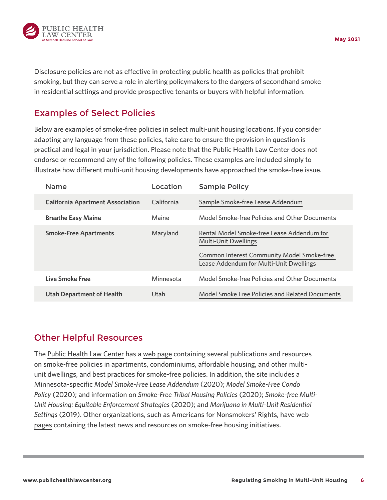

Disclosure policies are not as effective in protecting public health as policies that prohibit smoking, but they can serve a role in alerting policymakers to the dangers of secondhand smoke in residential settings and provide prospective tenants or buyers with helpful information.

#### Examples of Select Policies

Below are examples of smoke-free policies in select multi-unit housing locations. If you consider adapting any language from these policies, take care to ensure the provision in question is practical and legal in your jurisdiction. Please note that the Public Health Law Center does not endorse or recommend any of the following policies. These examples are included simply to illustrate how different multi-unit housing developments have approached the smoke-free issue.

| <b>Name</b>                             | Location   | <b>Sample Policy</b>                                                                                                                                                      |
|-----------------------------------------|------------|---------------------------------------------------------------------------------------------------------------------------------------------------------------------------|
| <b>California Apartment Association</b> | California | Sample Smoke-free Lease Addendum                                                                                                                                          |
| <b>Breathe Easy Maine</b>               | Maine      | Model Smoke-free Policies and Other Documents                                                                                                                             |
| <b>Smoke-Free Apartments</b>            | Maryland   | Rental Model Smoke-free Lease Addendum for<br><b>Multi-Unit Dwellings</b><br><b>Common Interest Community Model Smoke-free</b><br>Lease Addendum for Multi-Unit Dwellings |
| Live Smoke Free                         | Minnesota  | Model Smoke-free Policies and Other Documents                                                                                                                             |
| <b>Utah Department of Health</b>        | Utah       | Model Smoke Free Policies and Related Documents                                                                                                                           |
|                                         |            |                                                                                                                                                                           |

#### Other Helpful Resources

The [Public Health Law Center](http://publichealthlawcenter.org/) has a [web page](https://www.publichealthlawcenter.org/topics/commercial-tobacco-control/smoke-free-tobacco-free-places/housing) containing several publications and resources on smoke-free policies in apartments, [condominiums,](https://www.publichealthlawcenter.org/topics/commercial-tobacco-control/smoke-free-tobacco-free-places/housing/common-interest-communities) [affordable housing](https://www.publichealthlawcenter.org/topics/commercial-tobacco-control/smoke-free-tobacco-free-places/housing/public-subsidized-housing), and other multiunit dwellings, and best practices for smoke-free policies. In addition, the site includes a Minnesota-specific *[Model Smoke-Free Lease Addendum](https://www.publichealthlawcenter.org/sites/default/files/resources/PHLC-Model-Smoke-Free-Lease-Addendum.pdf)* (2020); *[Model Smoke-Free Condo](https://www.publichealthlawcenter.org/sites/default/files/resources/PHLC-Model-Smoke-Free-Condo-Policy.pdf)  [Policy](https://www.publichealthlawcenter.org/sites/default/files/resources/PHLC-Model-Smoke-Free-Condo-Policy.pdf)* (2020); and information on *[Smoke-Free Tribal Housing Policies](https://www.publichealthlawcenter.org/sites/default/files/resources/Smoke-free-tribal-housing-policies.pdf)* (2020); *[Smoke-free Multi-](https://www.publichealthlawcenter.org/sites/default/files/resources/SF-MUH-Equitable-Enforcement-Strategies.pdf)[Unit Housing: Equitable Enforcement Strategies](https://www.publichealthlawcenter.org/sites/default/files/resources/SF-MUH-Equitable-Enforcement-Strategies.pdf)* (2020); and *[Marijuana in Multi-Unit Residential](https://www.publichealthlawcenter.org/sites/default/files/resources/Marijuana-in-Multi-Unit-Residential-Setting-2019-1.pdf)  [Settings](https://www.publichealthlawcenter.org/sites/default/files/resources/Marijuana-in-Multi-Unit-Residential-Setting-2019-1.pdf)* (2019). Other organizations, such as [Americans for Nonsmokers' Rights](https://no-smoke.org/), have [web](http://www.no-smoke.org/goingsmokefree.php?id=101)  [pages](http://www.no-smoke.org/goingsmokefree.php?id=101) containing the latest news and resources on smoke-free housing initiatives.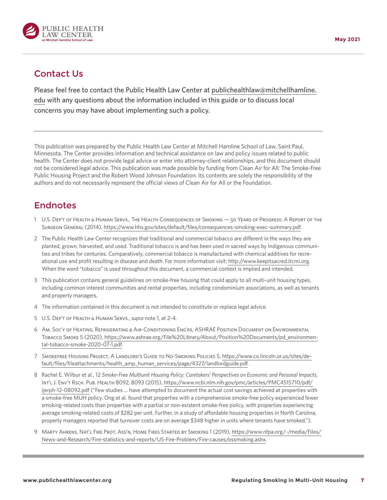<span id="page-6-0"></span>

## Contact Us

Please feel free to contact the Public Health Law Center at [publichealthlaw@mitchellhamline.](mailto:publichealthlaw@mitchellhamline.edu%20) [edu](mailto:publichealthlaw@mitchellhamline.edu%20) with any questions about the information included in this guide or to discuss local concerns you may have about implementing such a policy.

This publication was prepared by the Public Health Law Center at Mitchell Hamline School of Law, Saint Paul, Minnesota. The Center provides information and technical assistance on law and policy issues related to public health. The Center does not provide legal advice or enter into attorney-client relationships, and this document should not be considered legal advice. This publication was made possible by funding from Clean Air for All: The Smoke-Free Public Housing Project and the Robert Wood Johnson Foundation. Its contents are solely the responsibility of the authors and do not necessarily represent the official views of Clean Air for All or the Foundation.

## **Endnotes**

- [1](#page-0-0) U.S. Dep't of Health & Human Servs., The Health Consequences of Smoking 50 Years of Progress: A Report of the Surgeon General (2014), [https://www.hhs.gov/sites/default/files/consequences-smoking-exec-summary.pdf.](https://www.hhs.gov/sites/default/files/consequences-smoking-exec-summary.pdf)
- [2](#page-0-0) The Public Health Law Center recognizes that traditional and commercial tobacco are different in the ways they are planted, grown, harvested, and used. Traditional tobacco is and has been used in sacred ways by Indigenous communities and tribes for centuries. Comparatively, commercial tobacco is manufactured with chemical additives for recreational use and profit resulting in disease and death. For more information visit:<http://www.keepitsacred.itcmi.org>. When the word "tobacco" is used throughout this document, a commercial context is implied and intended.
- [3](#page-0-0) This publication contains general guidelines on smoke-free housing that could apply to all multi-unit housing types, including common interest communities and rental properties, including condominium associations, as well as tenants and property managers.
- [4](#page-0-0) The information contained in this document is not intended to constitute or replace legal advice.
- [5](#page-1-0) U.S. Dep't of Health & Human Servs., *supra* note 1, at 2-4.
- [6](#page-1-0) Am. Soc'y of Heating, Refrigerating & Air-Conditioning Eng'rs, ASHRAE Position Document on Environmental Tobacco Smoke 5 (2020), [https://www.ashrae.org/File%20Library/About/Position%20Documents/pd\\_environmen](https://www.ashrae.org/File%20Library/About/Position%20Documents/pd_environmental-tobacco-smoke-2020-07-1.pdf)[tal-tobacco-smoke-2020-07-1.pdf.](https://www.ashrae.org/File%20Library/About/Position%20Documents/pd_environmental-tobacco-smoke-2020-07-1.pdf)
- [7](#page-1-0) Smokefree Housing Project, A Landlord's Guide to No-Smoking Policies 5, [https://www.co.lincoln.or.us/sites/de](https://www.co.lincoln.or.us/sites/default/files/fileattachments/health_amp_human_services/page/4327/landlordguide.pdf)[fault/files/fileattachments/health\\_amp\\_human\\_services/page/4327/landlordguide.pdf.](https://www.co.lincoln.or.us/sites/default/files/fileattachments/health_amp_human_services/page/4327/landlordguide.pdf)
- [8](#page-1-0) Rachel E. Wilbur et al., 12 *Smoke-Free Multiunit Housing Policy: Caretakers' Perspectives on Economic and Personal Impacts*, Int'l J. Env't Rsch. Pub. Health 8092, 8093 (2015), [https://www.ncbi.nlm.nih.gov/pmc/articles/PMC4515710/pdf/](https://www.ncbi.nlm.nih.gov/pmc/articles/PMC4515710/pdf/ijerph-12-08092.pdf) [ijerph-12-08092.pdf](https://www.ncbi.nlm.nih.gov/pmc/articles/PMC4515710/pdf/ijerph-12-08092.pdf) ("Few studies … have attempted to document the actual cost savings achieved at properties with a smoke-free MUH policy. Ong et al. found that properties with a comprehensive smoke-free policy experienced fewer smoking-related costs than properties with a partial or non-existent smoke-free policy, with properties experiencing average smoking-related costs of \$282 per unit. Further, in a study of affordable housing properties in North Carolina, property managers reported that turnover costs are on average \$348 higher in units where tenants have smoked.").
- [9](#page-1-0) Marty Ahrens, Nat'l Fire Prot. Ass'n, Home Fires Started by Smoking 1 (2019), [https://www.nfpa.org/-/media/Files/](https://www.nfpa.org/-/media/Files/News-and-Research/Fire-statistics-and-reports/US-Fire-Problem/Fire-causes/ossmoking.ashx) [News-and-Research/Fire-statistics-and-reports/US-Fire-Problem/Fire-causes/ossmoking.ashx](https://www.nfpa.org/-/media/Files/News-and-Research/Fire-statistics-and-reports/US-Fire-Problem/Fire-causes/ossmoking.ashx).